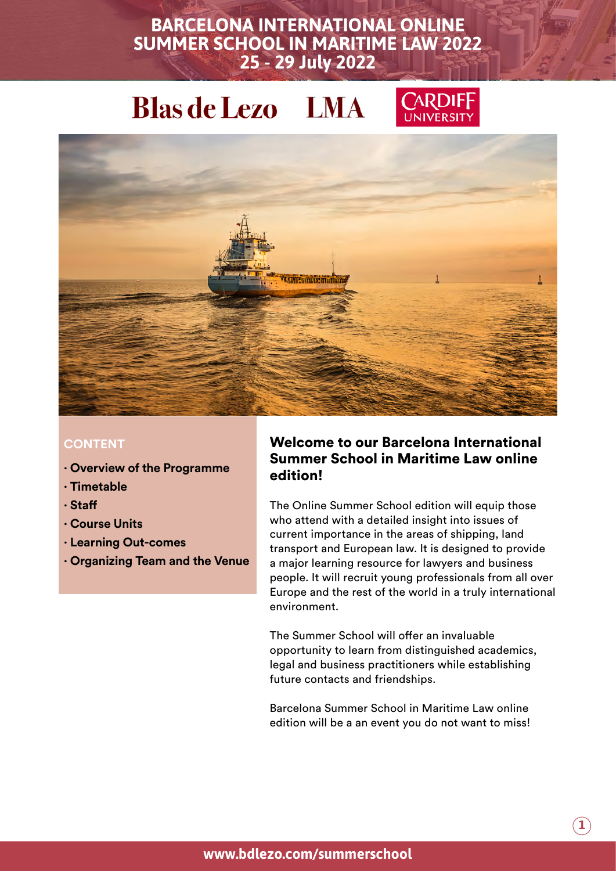

#### **CONTENT**

- **· Overview of the Programme**
- **· Timetable**
- **· Staff**
- **· Course Units**
- **· Learning Out-comes**
- **· Organizing Team and the Venue**

#### Welcome to our Barcelona International Summer School in Maritime Law online edition!

The Online Summer School edition will equip those who attend with a detailed insight into issues of current importance in the areas of shipping, land transport and European law. It is designed to provide a major learning resource for lawyers and business people. It will recruit young professionals from all over Europe and the rest of the world in a truly international environment.

The Summer School will offer an invaluable opportunity to learn from distinguished academics, legal and business practitioners while establishing future contacts and friendships.

Barcelona Summer School in Maritime Law online edition will be a an event you do not want to miss!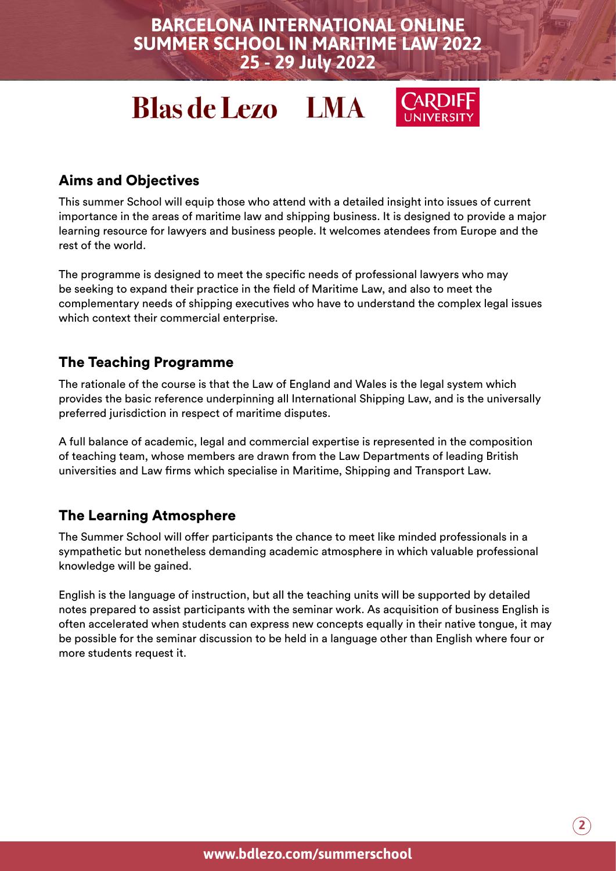# **Blas de Lezo LMA**



## Aims and Objectives

This summer School will equip those who attend with a detailed insight into issues of current importance in the areas of maritime law and shipping business. It is designed to provide a major learning resource for lawyers and business people. It welcomes atendees from Europe and the rest of the world.

The programme is designed to meet the specific needs of professional lawyers who may be seeking to expand their practice in the field of Maritime Law, and also to meet the complementary needs of shipping executives who have to understand the complex legal issues which context their commercial enterprise.

### The Teaching Programme

The rationale of the course is that the Law of England and Wales is the legal system which provides the basic reference underpinning all International Shipping Law, and is the universally preferred jurisdiction in respect of maritime disputes.

A full balance of academic, legal and commercial expertise is represented in the composition of teaching team, whose members are drawn from the Law Departments of leading British universities and Law firms which specialise in Maritime, Shipping and Transport Law.

### The Learning Atmosphere

The Summer School will offer participants the chance to meet like minded professionals in a sympathetic but nonetheless demanding academic atmosphere in which valuable professional knowledge will be gained.

English is the language of instruction, but all the teaching units will be supported by detailed notes prepared to assist participants with the seminar work. As acquisition of business English is often accelerated when students can express new concepts equally in their native tongue, it may be possible for the seminar discussion to be held in a language other than English where four or more students request it.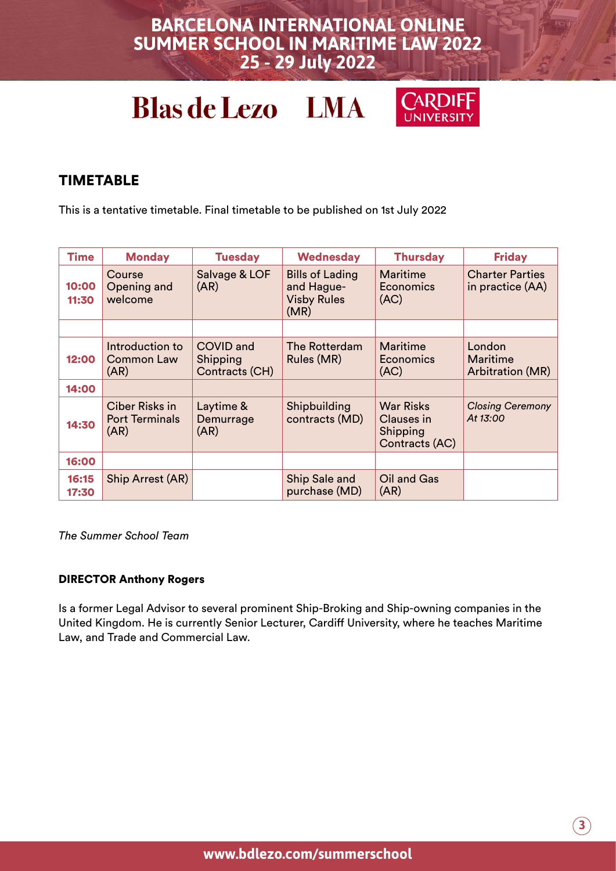# **Blas de Lezo LMA**



### TIMETABLE

This is a tentative timetable. Final timetable to be published on 1st July 2022

| <b>Time</b>    | <b>Monday</b>                                   | <b>Tuesday</b>                                 | <b>Wednesday</b>                                                   | <b>Thursday</b>                                              | <b>Friday</b>                              |
|----------------|-------------------------------------------------|------------------------------------------------|--------------------------------------------------------------------|--------------------------------------------------------------|--------------------------------------------|
| 10:00<br>11:30 | Course<br>Opening and<br>welcome                | Salvage & LOF<br>(AR)                          | <b>Bills of Lading</b><br>and Hague-<br><b>Visby Rules</b><br>(MR) | Maritime<br>Economics<br>(AC)                                | <b>Charter Parties</b><br>in practice (AA) |
|                |                                                 |                                                |                                                                    |                                                              |                                            |
| 12:00          | Introduction to<br><b>Common Law</b><br>(AR)    | <b>COVID and</b><br>Shipping<br>Contracts (CH) | The Rotterdam<br>Rules (MR)                                        | Maritime<br><b>Economics</b><br>(AC)                         | London<br>Maritime<br>Arbitration (MR)     |
| 14:00          |                                                 |                                                |                                                                    |                                                              |                                            |
| 14:30          | Ciber Risks in<br><b>Port Terminals</b><br>(AR) | Laytime &<br>Demurrage<br>(AR)                 | Shipbuilding<br>contracts (MD)                                     | <b>War Risks</b><br>Clauses in<br>Shipping<br>Contracts (AC) | <b>Closing Ceremony</b><br>At 13:00        |
| 16:00          |                                                 |                                                |                                                                    |                                                              |                                            |
| 16:15<br>17:30 | Ship Arrest (AR)                                |                                                | Ship Sale and<br>purchase (MD)                                     | Oil and Gas<br>(AR)                                          |                                            |

*The Summer School Team* 

#### DIRECTOR Anthony Rogers

Is a former Legal Advisor to several prominent Ship-Broking and Ship-owning companies in the United Kingdom. He is currently Senior Lecturer, Cardiff University, where he teaches Maritime Law, and Trade and Commercial Law.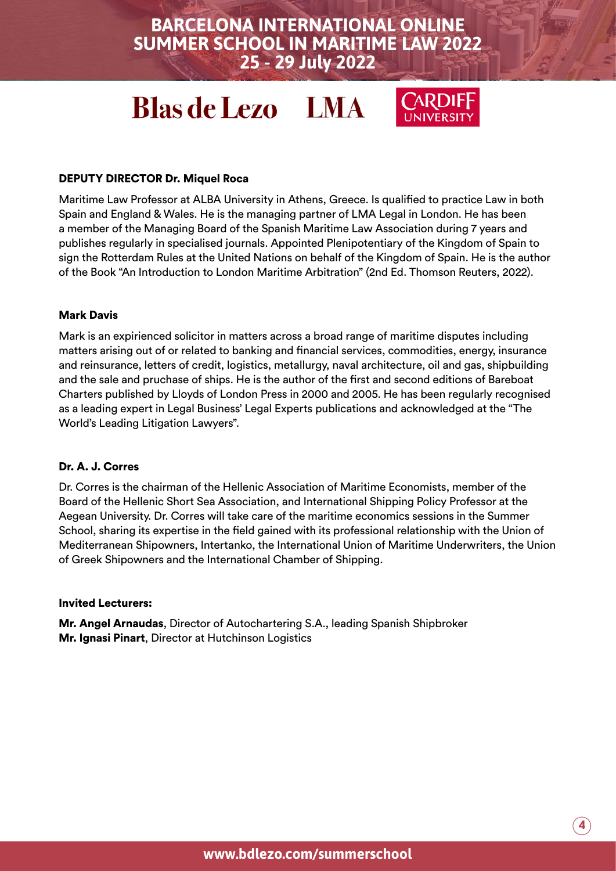# **Blas de Lezo LMA**



#### DEPUTY DIRECTOR Dr. Miquel Roca

Maritime Law Professor at ALBA University in Athens, Greece. Is qualified to practice Law in both Spain and England & Wales. He is the managing partner of LMA Legal in London. He has been a member of the Managing Board of the Spanish Maritime Law Association during 7 years and publishes regularly in specialised journals. Appointed Plenipotentiary of the Kingdom of Spain to sign the Rotterdam Rules at the United Nations on behalf of the Kingdom of Spain. He is the author of the Book "An Introduction to London Maritime Arbitration" (2nd Ed. Thomson Reuters, 2022).

#### Mark Davis

Mark is an expirienced solicitor in matters across a broad range of maritime disputes including matters arising out of or related to banking and financial services, commodities, energy, insurance and reinsurance, letters of credit, logistics, metallurgy, naval architecture, oil and gas, shipbuilding and the sale and pruchase of ships. He is the author of the first and second editions of Bareboat Charters published by Lloyds of London Press in 2000 and 2005. He has been regularly recognised as a leading expert in Legal Business' Legal Experts publications and acknowledged at the "The World's Leading Litigation Lawyers".

#### Dr. A. J. Corres

Dr. Corres is the chairman of the Hellenic Association of Maritime Economists, member of the Board of the Hellenic Short Sea Association, and International Shipping Policy Professor at the Aegean University. Dr. Corres will take care of the maritime economics sessions in the Summer School, sharing its expertise in the field gained with its professional relationship with the Union of Mediterranean Shipowners, Intertanko, the International Union of Maritime Underwriters, the Union of Greek Shipowners and the International Chamber of Shipping.

#### Invited Lecturers:

Mr. Angel Arnaudas, Director of Autochartering S.A., leading Spanish Shipbroker Mr. Ignasi Pinart, Director at Hutchinson Logistics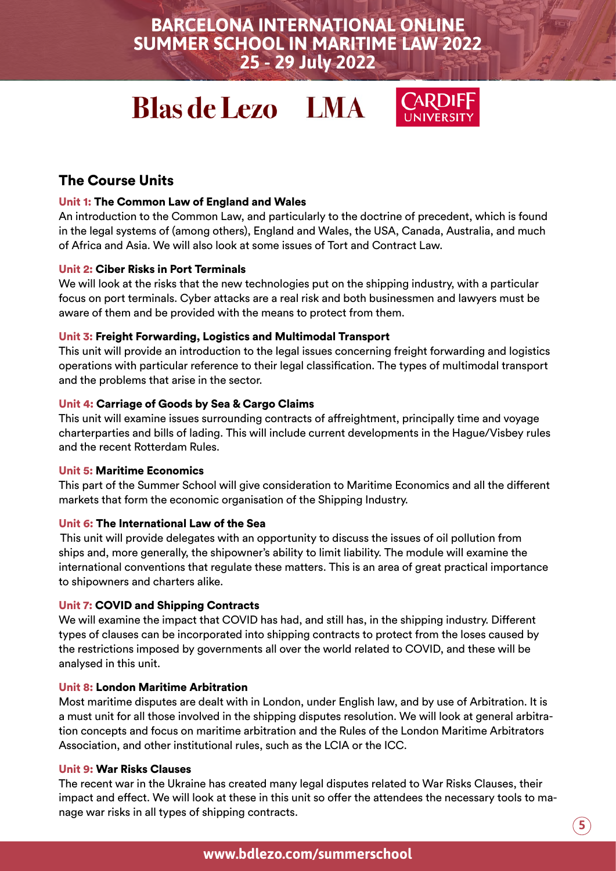# **Blas de Lezo LMA**



### The Course Units

#### Unit 1: The Common Law of England and Wales

An introduction to the Common Law, and particularly to the doctrine of precedent, which is found in the legal systems of (among others), England and Wales, the USA, Canada, Australia, and much of Africa and Asia. We will also look at some issues of Tort and Contract Law.

#### Unit 2: Ciber Risks in Port Terminals

We will look at the risks that the new technologies put on the shipping industry, with a particular focus on port terminals. Cyber attacks are a real risk and both businessmen and lawyers must be aware of them and be provided with the means to protect from them.

#### Unit 3: Freight Forwarding, Logistics and Multimodal Transport

This unit will provide an introduction to the legal issues concerning freight forwarding and logistics operations with particular reference to their legal classification. The types of multimodal transport and the problems that arise in the sector.

#### Unit 4: Carriage of Goods by Sea & Cargo Claims

This unit will examine issues surrounding contracts of affreightment, principally time and voyage charterparties and bills of lading. This will include current developments in the Hague/Visbey rules and the recent Rotterdam Rules.

#### Unit 5: Maritime Economics

This part of the Summer School will give consideration to Maritime Economics and all the different markets that form the economic organisation of the Shipping Industry.

#### Unit 6: The International Law of the Sea

This unit will provide delegates with an opportunity to discuss the issues of oil pollution from ships and, more generally, the shipowner's ability to limit liability. The module will examine the international conventions that regulate these matters. This is an area of great practical importance to shipowners and charters alike.

#### Unit 7: COVID and Shipping Contracts

We will examine the impact that COVID has had, and still has, in the shipping industry. Different types of clauses can be incorporated into shipping contracts to protect from the loses caused by the restrictions imposed by governments all over the world related to COVID, and these will be analysed in this unit.

#### Unit 8: London Maritime Arbitration

Most maritime disputes are dealt with in London, under English law, and by use of Arbitration. It is a must unit for all those involved in the shipping disputes resolution. We will look at general arbitration concepts and focus on maritime arbitration and the Rules of the London Maritime Arbitrators Association, and other institutional rules, such as the LCIA or the ICC.

#### Unit 9: War Risks Clauses

The recent war in the Ukraine has created many legal disputes related to War Risks Clauses, their impact and effect. We will look at these in this unit so offer the attendees the necessary tools to manage war risks in all types of shipping contracts.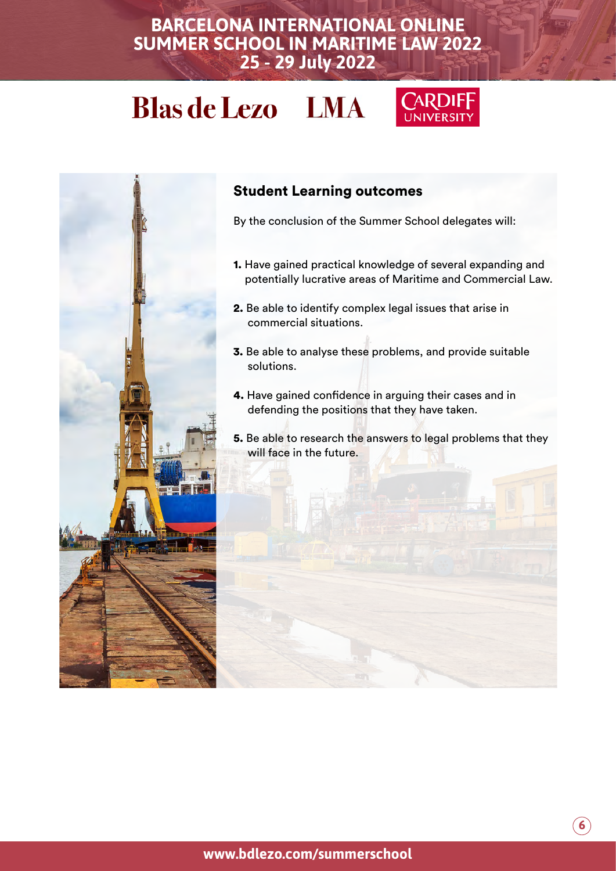# **Blas de Lezo LMA**





### Student Learning outcomes

By the conclusion of the Summer School delegates will:

- 1. Have gained practical knowledge of several expanding and potentially lucrative areas of Maritime and Commercial Law.
- 2. Be able to identify complex legal issues that arise in commercial situations.
- 3. Be able to analyse these problems, and provide suitable solutions.
- 4. Have gained confidence in arguing their cases and in defending the positions that they have taken.

5. Be able to research the answers to legal problems that they will face in the future.

**6**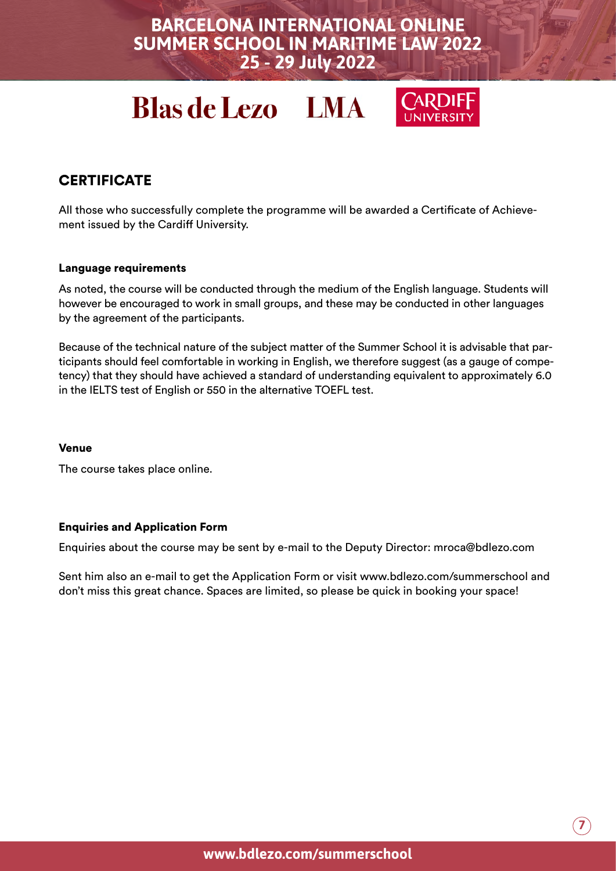# **Blas de Lezo LMA**



### **CERTIFICATE**

All those who successfully complete the programme will be awarded a Certificate of Achievement issued by the Cardiff University.

#### Language requirements

As noted, the course will be conducted through the medium of the English language. Students will however be encouraged to work in small groups, and these may be conducted in other languages by the agreement of the participants.

Because of the technical nature of the subject matter of the Summer School it is advisable that participants should feel comfortable in working in English, we therefore suggest (as a gauge of competency) that they should have achieved a standard of understanding equivalent to approximately 6.0 in the IELTS test of English or 550 in the alternative TOEFL test.

#### Venue

The course takes place online.

#### Enquiries and Application Form

Enquiries about the course may be sent by e-mail to the Deputy Director: mroca@bdlezo.com

Sent him also an e-mail to get the Application Form or visit www.bdlezo.com/summerschool and don't miss this great chance. Spaces are limited, so please be quick in booking your space!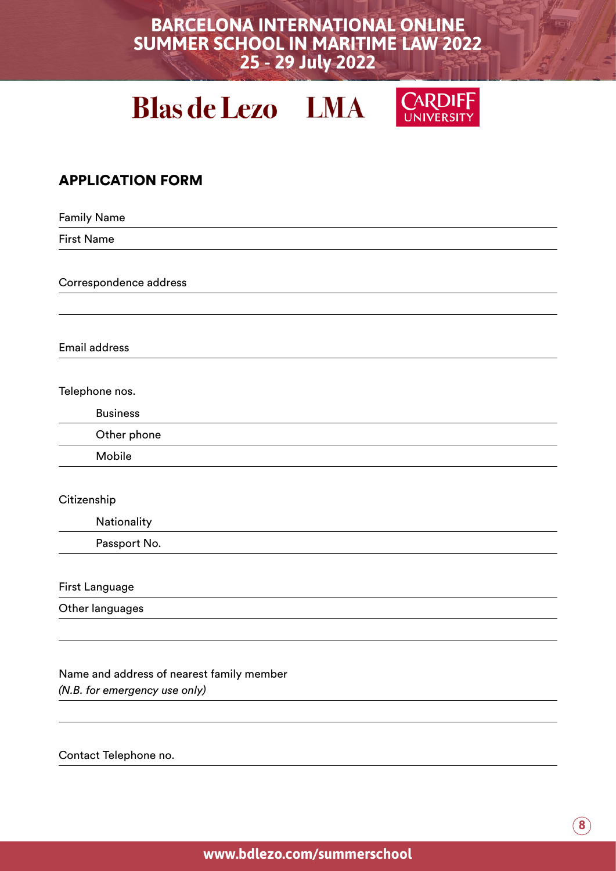# **Blas de Lezo LMA**



### APPLICATION FORM

Family Name First Name Correspondence address Email address Telephone nos. Business Other phone Mobile **Citizenship Nationality** Passport No. First Language Other languages Name and address of nearest family member *(N.B. for emergency use only)*

Contact Telephone no.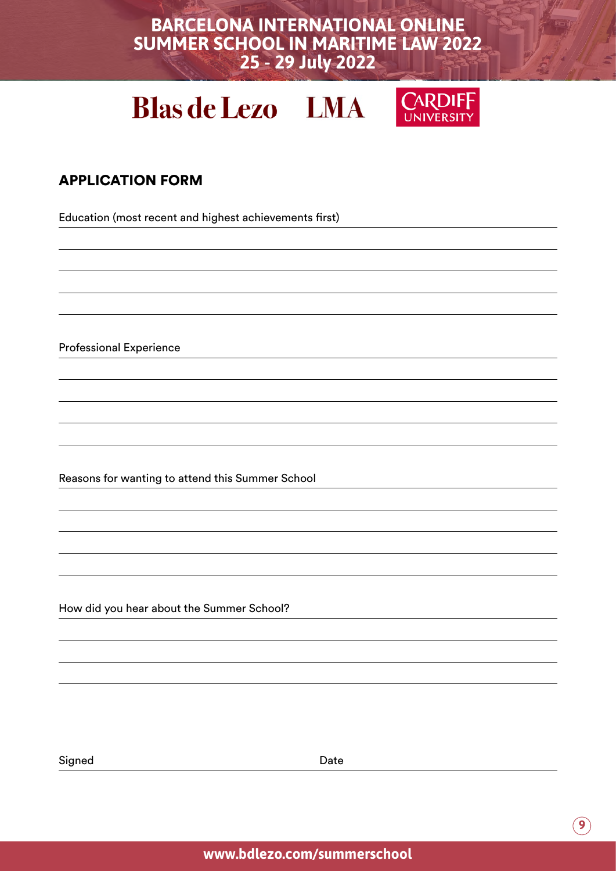# **Blas de Lezo LMA**



## APPLICATION FORM

Education (most recent and highest achievements first)

Professional Experience

Reasons for wanting to attend this Summer School

How did you hear about the Summer School?

Signed Date